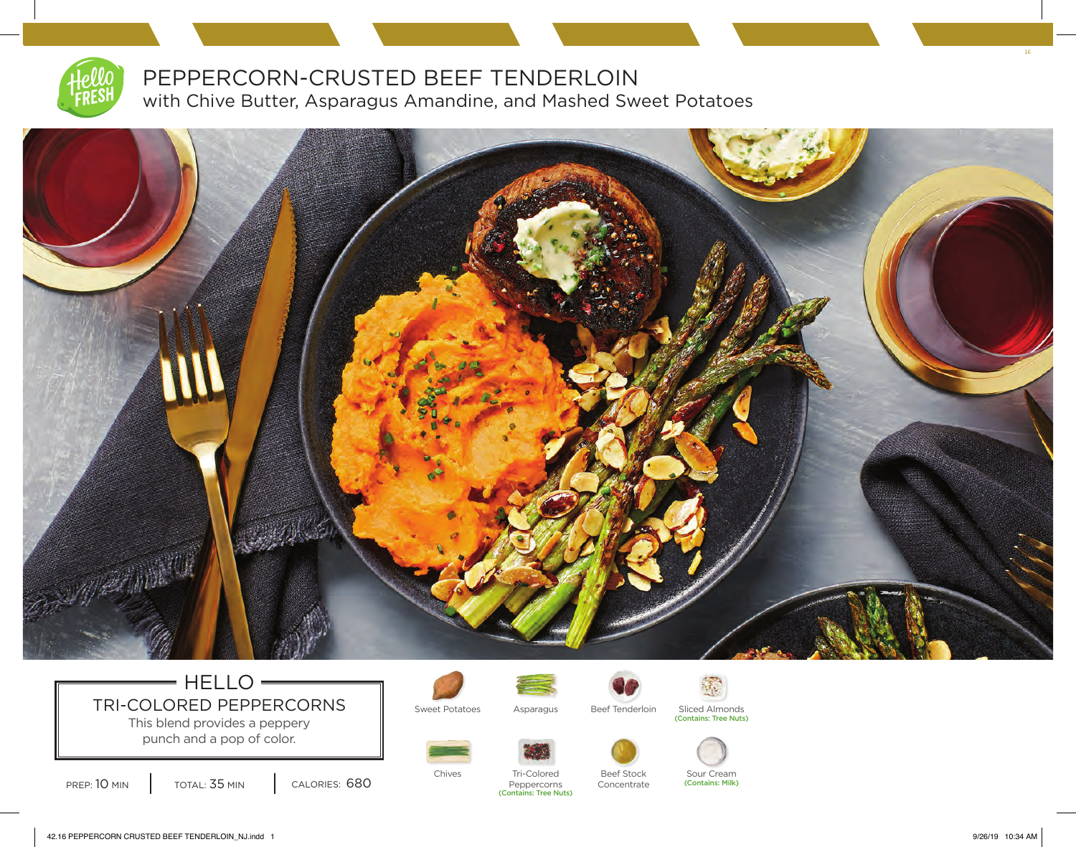

PEPPERCORN-CRUSTED BEEF TENDERLOIN with Chive Butter, Asparagus Amandine, and Mashed Sweet Potatoes



## $=$  HELLO $=$ TRI-COLORED PEPPERCORNS | Sweet Potatoes Asparagus Beef Tenderloin Sliced Almonds This blend provides a peppery

punch and a pop of color.







Concentrate







Sour Cream (Contains: Milk)



PREP: 10 MIN | TOTAL: 35 MIN | CALORIES: 680

Chives Tri-Colored Beef Stock Tri-Colored Peppercorns (Contains: Tree Nuts)

16